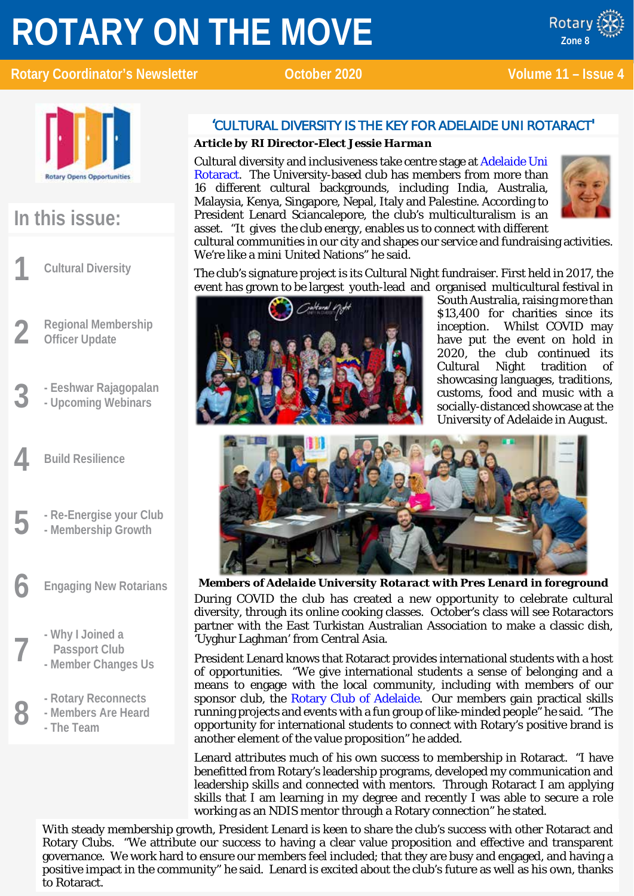# **ROTARY ON THE MOVE**





**Zone 8**

Rotary



### **In this issue:**

**1 Cultural Diversity**

- **2 Regional Membership Officer Update**
- **3 - Eeshwar Rajagopalan**
- **- Upcoming Webinars**
- **4 Build Resilience**
- **5 - Re-Energise your Club**
	- **- Membership Growth**

**6 Engaging New Rotarians**

- **Passport Club**
- **7 - Why I Joined a - Member Changes Us**
	-
- **8 -** Rotary Reconnects<br>**8 -** Members Are Heard<br>**8** The Team **- Members Are Heard**
	- **- The Team**

### 'CULTURAL DIVERSITY IS THE KEY FOR ADELAIDE UNI ROTARACT'

### *Article by RI Director-Elect Jessie Harman*

Cultural diversity and inclusiveness take centre stage at [Adelaide Uni](https://www.facebook.com/adelaideunirotaractclub/)  [Rotaract.](https://www.facebook.com/adelaideunirotaractclub/) The University-based club has members from more than 16 different cultural backgrounds, including India, Australia, Malaysia, Kenya, Singapore, Nepal, Italy and Palestine. According to President Lenard Sciancalepore, the club's multiculturalism is an asset. "It gives the club energy, enables us to connect with different



cultural communities in our city and shapes our service and fundraising activities. We're like a mini United Nations" he said.

The club's signature project is its Cultural Night fundraiser. First held in 2017, the event has grown to be largest youth-lead and organised multicultural festival in



South Australia, raising more than \$13,400 for charities since its inception. Whilst COVID may have put the event on hold in 2020, the club continued its Cultural Night tradition of showcasing languages, traditions, customs, food and music with a socially-distanced showcase at the University of Adelaide in August.



*Members of Adelaide University Rotaract with Pres Lenard in foreground* During COVID the club has created a new opportunity to celebrate cultural diversity, through its online cooking classes. October's class will see Rotaractors partner with the East Turkistan Australian Association to make a classic dish, 'Uyghur Laghman' from Central Asia.

President Lenard knows that Rotaract provides international students with a host of opportunities. "We give international students a sense of belonging and a means to engage with the local community, including with members of our sponsor club, the [Rotary Club of Adelaide.](https://www.adelaiderotary.com.au/) Our members gain practical skills running projects and events with a fun group of like-minded people" he said. "The opportunity for international students to connect with Rotary's positive brand is another element of the value proposition" he added.

Lenard attributes much of his own success to membership in Rotaract. "I have benefitted from Rotary's leadership programs, developed my communication and leadership skills and connected with mentors. Through Rotaract I am applying skills that I am learning in my degree and recently I was able to secure a role working as an NDIS mentor through a Rotary connection" he stated.

With steady membership growth, President Lenard is keen to share the club's success with other Rotaract and Rotary Clubs. "We attribute our success to having a clear value proposition and effective and transparent governance. We work hard to ensure our members feel included; that they are busy and engaged, and having a positive impact in the community" he said. Lenard is excited about the club's future as well as his own, thanks to Rotaract.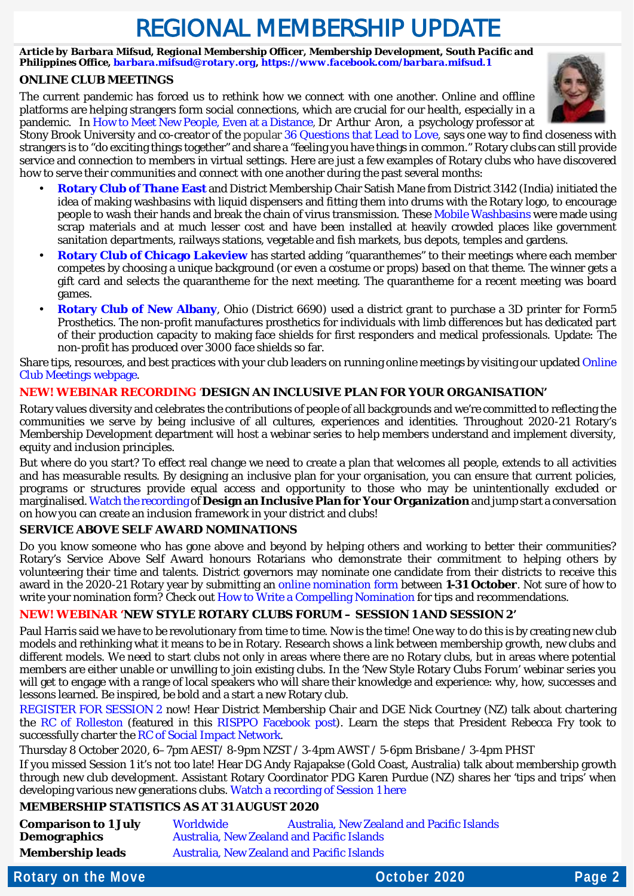### REGIONAL MEMBERSHIP UPDATE

*Article by Barbara Mifsud, Regional Membership Officer, Membership Development, South Pacific and Philippines Office[, barbara.mifsud@rotary.org,](mailto:barbara.mifsud@rotary.org)<https://www.facebook.com/barbara.mifsud.1>*

### **ONLINE CLUB MEETINGS**

The current pandemic has forced us to rethink how we connect with one another. Online and offline platforms are helping strangers form social connections, which are crucial for our health, especially in a pandemic. I[n How to Meet New People, Even at a Distance,](https://www.nytimes.com/2020/08/29/well/family/meeting-people-pandemic.html?action=click&module=Top%20Stories&pgtype=Homepage&contentCollection=AtHome&package_index=0) Dr Arthur Aron, a psychology professor at



Stony Brook University and co-creator of the popular [36 Questions that Lead to Love,](https://abcnews.go.com/Lifestyle/36-questions-create-closeness-strangers-quiz/story?id=28504585) says one way to find closeness with strangers is to "do exciting things together" and share a "feeling you have things in common." Rotary clubs can still provide service and connection to members in virtual settings. Here are just a few examples of Rotary clubs who have discovered how to serve their communities and connect with one another during the past several months:

- **[Rotary Club of Thane East](http://www.rotarythaneeast.org/)** and District Membership Chair Satish Mane from District 3142 (India) initiated the idea of making washbasins with liquid dispensers and fitting them into drums with the Rotary logo, to encourage people to wash their hands and break the chain of virus transmission. These [Mobile Washbasins](https://mumbaimirror.indiatimes.com/coronavirus/videos/coronavirus-lockdown-zero-touch-hand-wash-basin-introduced-in-thane/videoshow/75267597.cms) were made using scrap materials and at much lesser cost and have been installed at heavily crowded places like government sanitation departments, railways stations, vegetable and fish markets, bus depots, temples and gardens.
- **[Rotary Club of Chicago Lakeview](https://portal.clubrunner.ca/6116/)** has started adding "quaranthemes" to their meetings where each member competes by choosing a unique background (or even a costume or props) based on that theme. The winner gets a gift card and selects the quarantheme for the next meeting. The quarantheme for a recent meeting was board games.
- **[Rotary Club of New Albany](https://www.facebook.com/NARotary/)**, Ohio (District 6690) used a district grant to purchase a 3D printer for Form5 Prosthetics. The non-profit manufactures prosthetics for individuals with limb differences but has dedicated part of their production capacity to making face shields for first responders and medical professionals. Update: The non-profit has produced over 3000 face shields so far.

Share tips, resources, and best practices with your club leaders on running online meetings by visiting our updated Online [Club Meetings webpage.](https://my.rotary.org/en/learning-reference/learn-topic/online-club-meetings)

### **NEW! WEBINAR RECORDING** '**DESIGN AN INCLUSIVE PLAN FOR YOUR ORGANISATION'**

Rotary values diversity and celebrates the contributions of people of all backgrounds and we're committed to reflecting the communities we serve by being inclusive of all cultures, experiences and identities. Throughout 2020-21 Rotary's Membership Development department will host a webinar series to help members understand and implement diversity, equity and inclusion principles.

But where do you start? To effect real change we need to create a plan that welcomes all people, extends to all activities and has measurable results. By designing an inclusive plan for your organisation, you can ensure that current policies, programs or structures provide equal access and opportunity to those who may be unintentionally excluded or marginalised[. Watch the recording](https://vimeo.com/channels/rotarymembership/459172728) of **Design an Inclusive Plan for Your Organization**and jump start a conversation on how you can create an inclusion framework in your district and clubs!

### **SERVICE ABOVE SELF AWARD NOMINATIONS**

Do you know someone who has gone above and beyond by helping others and working to better their communities? Rotary's Service Above Self Award honours Rotarians who demonstrate their commitment to helping others by volunteering their time and talents. District governors may nominate one candidate from their districts to receive this award in the 2020-21 Rotary year by submitting an [online nomination form](https://rotary.qualtrics.com/jfe/form/SV_3QqKGOfQReFIluJ) between **1-31 October**. Not sure of how to write your nomination form? Check out [How to Write a Compelling Nomination](https://my-cms.rotary.org/en/document/how-write-compelling-nomination?embed=true) for tips and recommendations.

### **NEW! WEBINAR 'NEW STYLE ROTARY CLUBS FORUM – SESSION 1 AND SESSION 2'**

Paul Harris said we have to be revolutionary from time to time. Now is the time! One way to do this is by creating new club models and rethinking what it means to be in Rotary. Research shows a link between membership growth, new clubs and different models. We need to start clubs not only in areas where there are no Rotary clubs, but in areas where potential members are either unable or unwilling to join existing clubs. In the 'New Style Rotary Clubs Forum' webinar series you will get to engage with a range of local speakers who will share their knowledge and experience: why, how, successes and lessons learned. Be inspired, be bold and a start a new Rotary club.

[REGISTER FOR SESSION 2](https://zoom.us/meeting/register/tJYvcO6oqDwsGd1EyoteLLdNuqfV2FhzVqgA) now! Hear District Membership Chair and DGE Nick Courtney (NZ) talk about chartering the [RC of Rolleston](https://www.facebook.com/rotary.rolleston/?__tn__=%2Cd%2CP-R&eid=ARAj1ZYX9wv-m3Le2-6N7C0Ngob-nBXzeLRSF1cc03ADcNGERUTC4t6omz9jWJ_EZS6yVng-vuhc8axM) (featured in this [RISPPO Facebook post\)](https://www.facebook.com/risppo/posts/178306353801315). Learn the steps that President Rebecca Fry took to successfully charter the [RC of Social Impact Network.](https://www.facebook.com/rotarysocialimpactnetwork/)

Thursday 8 October 2020, 6–7pm AEST/ 8-9pm NZST / 3-4pm AWST / 5-6pm Brisbane / 3-4pm PHST

If you missed Session 1 it's not too late! Hear DG Andy Rajapakse (Gold Coast, Australia) talk about membership growth through new club development. Assistant Rotary Coordinator PDG Karen Purdue (NZ) shares her 'tips and trips' when developing various new generations clubs. [Watch a recording of Session 1 here](https://www.youtube.com/watch?v=tL_r0x04sD8&t=194s)

### **MEMBERSHIP STATISTICS AS AT 31 AUGUST 2020**

| <b>Comparison to 1 July</b> | <b>Worldwide</b>                                  | <b>Australia, New Zealand and Pacific Islands</b> |
|-----------------------------|---------------------------------------------------|---------------------------------------------------|
| <b>Demographics</b>         | <b>Australia, New Zealand and Pacific Islands</b> |                                                   |
| <b>Membership leads</b>     | <b>Australia, New Zealand and Pacific Islands</b> |                                                   |

**Rotary on the Move Construction Construction Construction Construction Construction Page 2**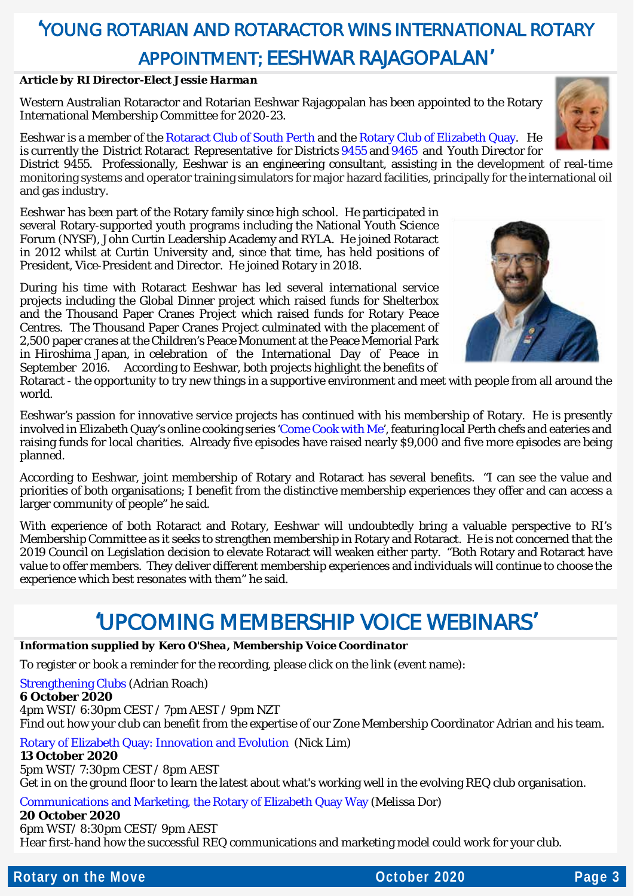### 'YOUNG ROTARIAN AND ROTARACTOR WINS INTERNATIONAL ROTARY APPOINTMENT; EESHWAR RAJAGOPALAN'

#### *Article by RI Director-Elect Jessie Harman*

Western Australian Rotaractor and Rotarian Eeshwar Rajagopalan has been appointed to the Rotary International Membership Committee for 2020-23.

Eeshwar is a member of the [Rotaract Club of South](https://www.facebook.com/SouthPerthRotaract/) Perth and the [Rotary Club of Elizabeth Quay.](https://www.rotaryeq.org/) He is currently the District Rotaract Representative for Districts [9455](https://rotarydistrict9455.org/) an[d 9465](https://rotary9465.org.au/) and Youth Director for District 9455. Professionally, Eeshwar is an engineering consultant, assisting in the development of real-time monitoring systems and operator training simulators for major hazard facilities, principally for the international oil and gas industry.

Eeshwar has been part of the Rotary family since high school. He participated in several Rotary-supported youth programs including the National Youth Science Forum (NYSF), John Curtin Leadership Academy and RYLA. He joined Rotaract in 2012 whilst at Curtin University and, since that time, has held positions of President, Vice-President and Director. He joined Rotary in 2018.

During his time with Rotaract Eeshwar has led several international service projects including the Global Dinner project which raised funds for Shelterbox and the Thousand Paper Cranes Project which raised funds for Rotary Peace Centres. The Thousand Paper Cranes Project culminated with the placement of 2,500 paper cranes at the Children's Peace Monument at the Peace Memorial Park in Hiroshima Japan, in celebration of the International Day of Peace in September 2016. According to Eeshwar, both projects highlight the benefits of

Rotaract - the opportunity to try new things in a supportive environment and meet with people from all around the world.

Eeshwar's passion for innovative service projects has continued with his membership of Rotary. He is presently involved in Elizabeth Quay's online cooking series ['Come Cook with Me'](https://www.facebook.com/REQComeCookWithMe/), featuring local Perth chefs and eateries and raising funds for local charities. Already five episodes have raised nearly \$9,000 and five more episodes are being planned.

According to Eeshwar, joint membership of Rotary and Rotaract has several benefits. "I can see the value and priorities of both organisations; I benefit from the distinctive membership experiences they offer and can access a larger community of people" he said.

With experience of both Rotaract and Rotary, Eeshwar will undoubtedly bring a valuable perspective to RI's Membership Committee as it seeks to strengthen membership in Rotary and Rotaract. He is not concerned that the 2019 Council on Legislation decision to elevate Rotaract will weaken either party. "Both Rotary and Rotaract have value to offer members. They deliver different membership experiences and individuals will continue to choose the experience which best resonates with them" he said.

### 'UPCOMING MEMBERSHIP VOICE WEBINARS'

### *Information supplied by Kero O'Shea, Membership Voice Coordinator*

To register or book a reminder for the recording, please click on the link (event name):

### [Strengthening Clubs](https://us02web.zoom.us/meeting/register/tZcqd-2urjoqHNKcs2Rl0bdW__QzeENpri_K) (Adrian Roach)

**6 October 2020**

4pm WST/ 6:30pm CEST / 7pm AEST / 9pm NZT Find out how your club can benefit from the expertise of our Zone Membership Coordinator Adrian and his team.

[Rotary of Elizabeth Quay: Innovation and Evolution](https://us02web.zoom.us/meeting/register/tZAtduqgrDIvH9cgG-bSAWZr6dyaBzZemqF0%C2%A0%C2%A0) (Nick Lim)

#### **13 October 2020**

5pm WST/ 7:30pm CEST / 8pm AEST Get in on the ground floor to learn the latest about what's working well in the evolving REQ club organisation.

### [Communications and Marketing, the Rotary of Elizabeth Quay Way](https://us02web.zoom.us/meeting/register/tZIlc-2qpz0oGd3CCBJGUHp0B4pTjS0vLUpA) (Melissa Dor)

**20 October 2020**

6pm WST/ 8:30pm CEST/ 9pm AEST

Hear first-hand how the successful REQ communications and marketing model could work for your club.





**Rotary on the Move Page 3 Page 3**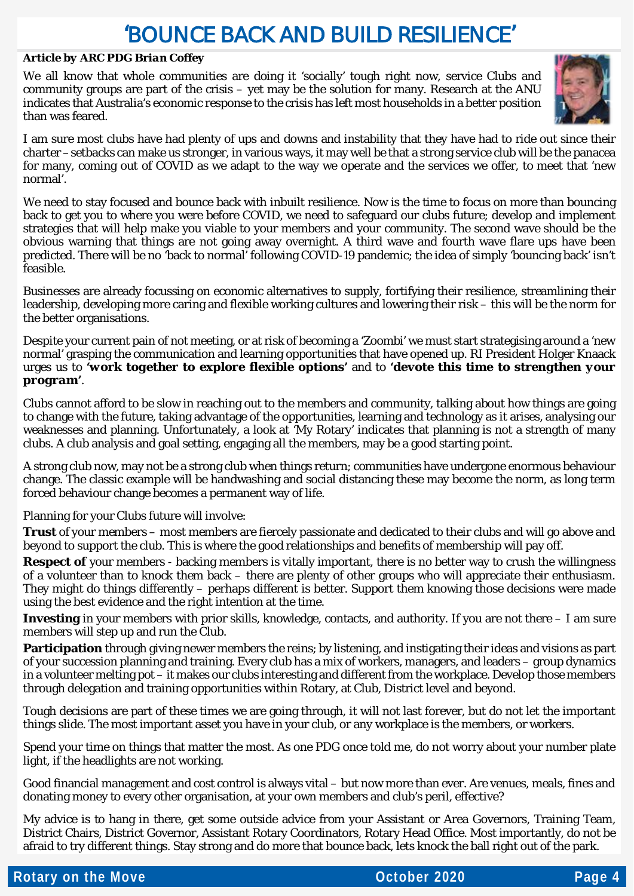### 'BOUNCE BACK AND BUILD RESILIENCE'

#### *Article by ARC PDG Brian Coffey*

We all know that whole communities are doing it 'socially' tough right now, service Clubs and community groups are part of the crisis – yet may be the solution for many. Research at the ANU indicates that Australia's economic response to the crisis has left most households in a better position than was feared.



I am sure most clubs have had plenty of ups and downs and instability that they have had to ride out since their charter –setbacks can make us stronger, in various ways, it may well be that a strong service club will be the panacea for many, coming out of COVID as we adapt to the way we operate and the services we offer, to meet that 'new normal'.

We need to stay focused and bounce back with inbuilt resilience. Now is the time to focus on more than bouncing back to get you to where you were before COVID, we need to safeguard our clubs future; develop and implement strategies that will help make you viable to your members and your community. The second wave should be the obvious warning that things are not going away overnight. A third wave and fourth wave flare ups have been predicted. There will be no 'back to normal' following COVID-19 pandemic; the idea of simply 'bouncing back' isn't feasible.

Businesses are already focussing on economic alternatives to supply, fortifying their resilience, streamlining their leadership, developing more caring and flexible working cultures and lowering their risk – this will be the norm for the better organisations.

Despite your current pain of not meeting, or at risk of becoming a '*Zoombi'* we must start strategising around a 'new normal' grasping the communication and learning opportunities that have opened up. RI President Holger Knaack urges us to *'work together to explore flexible options'* and to *'devote this time to strengthen your program'*.

Clubs cannot afford to be slow in reaching out to the members and community, talking about how things are going to change with the future, taking advantage of the opportunities, learning and technology as it arises, analysing our weaknesses and planning. Unfortunately, a look at 'My Rotary' indicates that planning is not a strength of many clubs. A club analysis and goal setting, engaging all the members, may be a good starting point.

A strong club now, may not be a strong club when things return; communities have undergone enormous behaviour change. The classic example will be handwashing and social distancing these may become the norm, as long term forced behaviour change becomes a permanent way of life.

Planning for your Clubs future will involve:

**Trust** of your members – most members are fiercely passionate and dedicated to their clubs and will go above and beyond to support the club. This is where the good relationships and benefits of membership will pay off.

**Respect of** your members - backing members is vitally important, there is no better way to crush the willingness of a volunteer than to knock them back – there are plenty of other groups who will appreciate their enthusiasm. They might do things differently – perhaps different is better. Support them knowing those decisions were made using the best evidence and the right intention at the time.

**Investing** in your members with prior skills, knowledge, contacts, and authority. If you are not there – I am sure members will step up and run the Club.

**Participation** through giving newer members the reins; by listening, and instigating their ideas and visions as part of your succession planning and training. Every club has a mix of workers, managers, and leaders – group dynamics in a volunteer melting pot – it makes our clubs interesting and different from the workplace. Develop those members through delegation and training opportunities within Rotary, at Club, District level and beyond.

Tough decisions are part of these times we are going through, it will not last forever, but do not let the important things slide. The most important asset you have in your club, or any workplace is the members, or workers.

Spend your time on things that matter the most. As one PDG once told me, do not worry about your number plate light, if the headlights are not working.

Good financial management and cost control is always vital – but now more than ever. Are venues, meals, fines and donating money to every other organisation, at your own members and club's peril, effective?

My advice is to hang in there, get some outside advice from your Assistant or Area Governors, Training Team, District Chairs, District Governor, Assistant Rotary Coordinators, Rotary Head Office. Most importantly, do not be afraid to try different things. Stay strong and do more that bounce back, lets knock the ball right out of the park.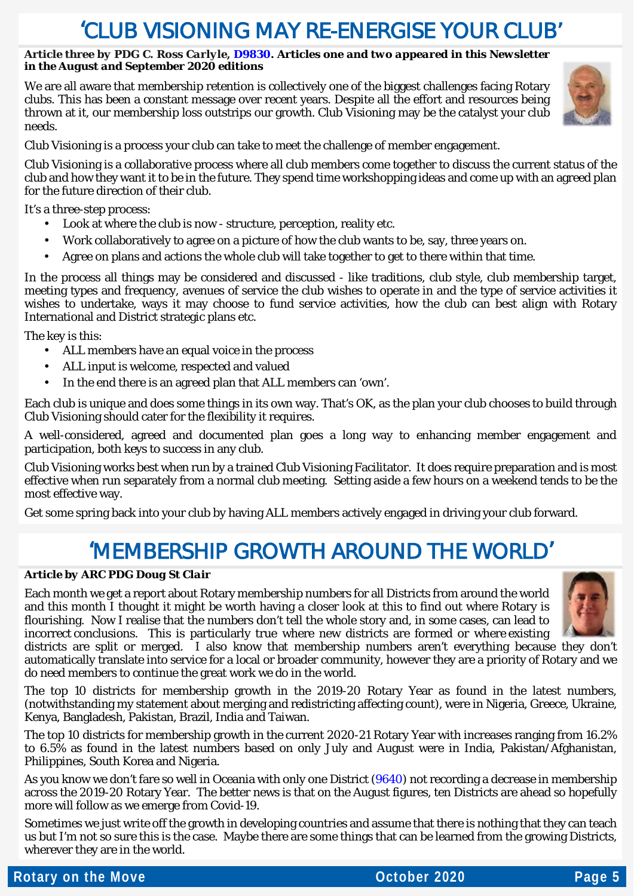### 'CLUB VISIONING MAY RE-ENFRGISE YOUR CLUB'

#### *Article three by PDG C. Ross Carlyle, [D9830.](https://rotary9830.org.au/) Articles one and two appeared in this Newsletter in the August and September 2020 editions*

We are all aware that membership retention is collectively one of the biggest challenges facing Rotary clubs. This has been a constant message over recent years. Despite all the effort and resources being thrown at it, our membership loss outstrips our growth. Club Visioning may be the catalyst your club needs.



Club Visioning is a process your club can take to meet the challenge of member engagement.

Club Visioning is a collaborative process where all club members come together to discuss the current status of the club and how they want it to be in the future. They spend time workshopping ideas and come up with an agreed plan for the future direction of their club.

It's a three-step process:

- Look at where the club is now structure, perception, reality etc.  $\mathbf{r}$
- Work collaboratively to agree on a picture of how the club wants to be, say, three years on.  $\mathbf{r}$
- Agree on plans and actions the whole club will take together to get to there within that time. l,

In the process all things may be considered and discussed - like traditions, club style, club membership target, meeting types and frequency, avenues of service the club wishes to operate in and the type of service activities it wishes to undertake, ways it may choose to fund service activities, how the club can best align with Rotary International and District strategic plans etc.

The key is this:

- ALL members have an equal voice in the process
- ALL input is welcome, respected and valued
- In the end there is an agreed plan that ALL members can 'own'.

Each club is unique and does some things in its own way. That's OK, as the plan your club chooses to build through Club Visioning should cater for the flexibility it requires.

A well-considered, agreed and documented plan goes a long way to enhancing member engagement and participation, both keys to success in any club.

Club Visioning works best when run by a trained Club Visioning Facilitator. It does require preparation and is most effective when run separately from a normal club meeting. Setting aside a few hours on a weekend tends to be the most effective way.

Get some spring back into your club by having ALL members actively engaged in driving your club forward.

### 'MEMBERSHIP GROWTH AROUND THE WORLD'

### *Article by ARC PDG Doug St Clair*

Each month we get a report about Rotary membership numbers for all Districts from around the world and this month I thought it might be worth having a closer look at this to find out where Rotary is flourishing. Now I realise that the numbers don't tell the whole story and, in some cases, can lead to incorrect conclusions. This is particularly true where new districts are formed or where existing



districts are split or merged. I also know that membership numbers aren't everything because they don't automatically translate into service for a local or broader community, however they are a priority of Rotary and we do need members to continue the great work we do in the world.

The top 10 districts for membership growth in the 2019-20 Rotary Year as found in the latest numbers, (notwithstanding my statement about merging and redistricting affecting count), were in Nigeria, Greece, Ukraine, Kenya, Bangladesh, Pakistan, Brazil, India and Taiwan.

The top 10 districts for membership growth in the current 2020-21 Rotary Year with increases ranging from 16.2% to 6.5% as found in the latest numbers based on only July and August were in India, Pakistan/Afghanistan, Philippines, South Korea and Nigeria.

As you know we don't fare so well in Oceania with only one District [\(9640\)](https://rotary9640.org/) not recording a decrease in membership across the 2019-20 Rotary Year. The better news is that on the August figures, ten Districts are ahead so hopefully more will follow as we emerge from Covid-19.

Sometimes we just write off the growth in developing countries and assume that there is nothing that they can teach us but I'm not so sure this is the case. Maybe there are some things that can be learned from the growing Districts, wherever they are in the world.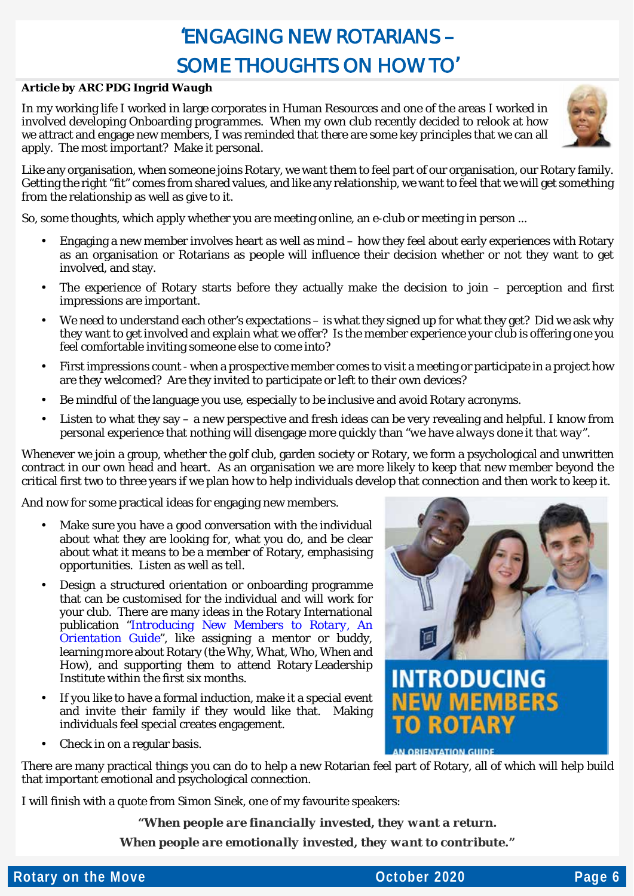### 'ENGAGING NEW ROTARIANS – SOME THOUGHTS ON HOW TO'

#### *Article by ARC PDG Ingrid Waugh*

In my working life I worked in large corporates in Human Resources and one of the areas I worked in involved developing Onboarding programmes. When my own club recently decided to relook at how we attract and engage new members, I was reminded that there are some key principles that we can all apply. The most important? Make it personal.



Like any organisation, when someone joins Rotary, we want them to feel part of our organisation, our Rotary family. Getting the right "fit" comes from shared values, and like any relationship, we want to feel that we will get something from the relationship as well as give to it.

So, some thoughts, which apply whether you are meeting online, an e-club or meeting in person ...

- Engaging a new member involves heart as well as mind how they feel about early experiences with Rotary as an organisation or Rotarians as people will influence their decision whether or not they want to get involved, and stay.
- The experience of Rotary starts before they actually make the decision to join perception and first impressions are important.
- We need to understand each other's expectations is what they signed up for what they get? Did we ask why they want to get involved and explain what we offer? Is the member experience your club is offering one you feel comfortable inviting someone else to come into?
- First impressions count when a prospective member comes to visit a meeting or participate in a project how are they welcomed? Are they invited to participate or left to their own devices?
- Be mindful of the language you use, especially to be inclusive and avoid Rotary acronyms.
- Listen to what they say a new perspective and fresh ideas can be very revealing and helpful. I know from personal experience that nothing will disengage more quickly than "*we have always done it that way".*

Whenever we join a group, whether the golf club, garden society or Rotary, we form a psychological and unwritten contract in our own head and heart. As an organisation we are more likely to keep that new member beyond the critical first two to three years if we plan how to help individuals develop that connection and then work to keep it.

And now for some practical ideas for engaging new members.

- Make sure you have a good conversation with the individual about what they are looking for, what you do, and be clear about what it means to be a member of Rotary, emphasising opportunities. Listen as well as tell.
- Design a structured orientation or onboarding programme that can be customised for the individual and will work for your club. There are many ideas in the Rotary International publication *["Introducing New Members to Rotary, An](https://my-cms.rotary.org/en/document/introducing-new-members-rotary-orientation-guide?embed=true)  [Orientation Guide"](https://my-cms.rotary.org/en/document/introducing-new-members-rotary-orientation-guide?embed=true),* like assigning a mentor or buddy, learning more about Rotary (the Why, What, Who, When and How), and supporting them to attend Rotary Leadership Institute within the first six months.
- If you like to have a formal induction, make it a special event and invite their family if they would like that. Making individuals feel special creates engagement.
- Check in on a regular basis.



AN ORIENTATION GUIDE

There are many practical things you can do to help a new Rotarian feel part of Rotary, all of which will help build that important emotional and psychological connection.

I will finish with a quote from Simon Sinek, one of my favourite speakers:

*"When people are financially invested, they want a return.*

*When people are emotionally invested, they want to contribute."*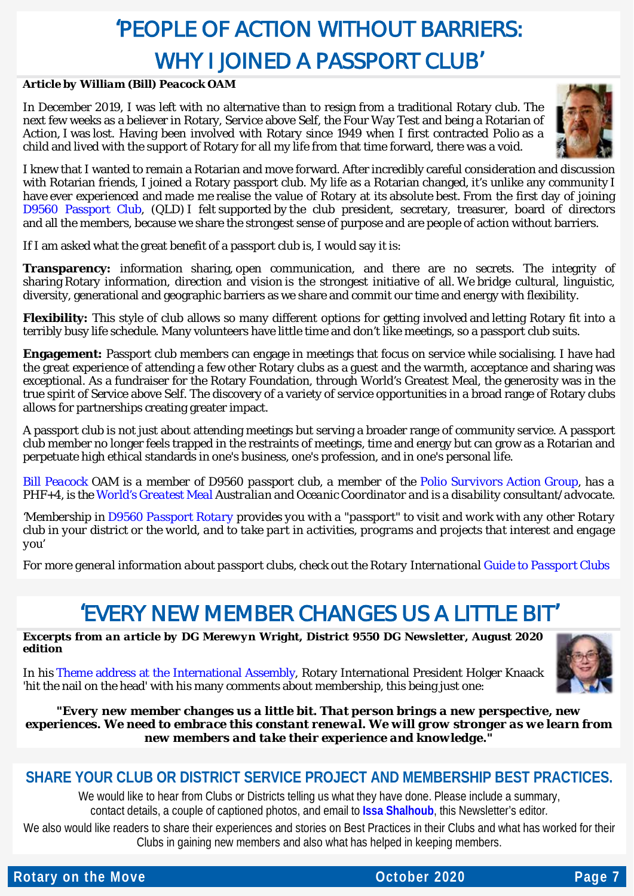## 'PEOPLE OF ACTION WITHOUT BARRIERS: WHY I JOINED A PASSPORT CLUB'

#### *Article by William (Bill) Peacock OAM*

In December 2019, I was left with no alternative than to resign from a traditional Rotary club. The next few weeks as a believer in Rotary, Service above Self, the Four Way Test and being a Rotarian of Action, I was lost. Having been involved with Rotary since 1949 when I first contracted Polio as a child and lived with the support of Rotary for all my life from that time forward, there was a void.



I knew that I wanted to remain a Rotarian and move forward. After incredibly careful consideration and discussion with Rotarian friends, I joined a Rotary passport club. My life as a Rotarian changed, it's unlike any community I have ever experienced and made me realise the value of Rotary at its absolute best. From the first day of joining [D9560 Passport Club,](https://www.facebook.com/d9560/) (QLD) I felt supported by the club president, secretary, treasurer, board of directors and all the members, because we share the strongest sense of purpose and are people of action without barriers.

If I am asked what the great benefit of a passport club is, I would say it is:

**Transparency:** information sharing, open communication, and there are no secrets. The integrity of sharing Rotary information, direction and vision is the strongest initiative of all. We bridge cultural, linguistic, diversity, generational and geographic barriers as we share and commit our time and energy with flexibility.

**Flexibility:** This style of club allows so many different options for getting involved and letting Rotary fit into a terribly busy life schedule. Many volunteers have little time and don't like meetings, so a passport club suits.

**Engagement:** Passport club members can engage in meetings that focus on service while socialising. I have had the great experience of attending a few other Rotary clubs as a guest and the warmth, acceptance and sharing was exceptional. As a fundraiser for the Rotary Foundation, through World's Greatest Meal, the generosity was in the true spirit of Service above Self. The discovery of a variety of service opportunities in a broad range of Rotary clubs allows for partnerships creating greater impact.

A passport club is not just about attending meetings but serving a broader range of community service. A passport club member no longer feels trapped in the restraints of meetings, time and energy but can grow as a Rotarian and perpetuate high ethical standards in one's business, one's profession, and in one's personal life.

*[Bill Peacock](http://www.wbpeacock.com/) OAM is a member of D9560 passport club, a member of the [Polio Survivors Action Group,](https://rotarypoliosurvivors.org/) has a PHF+4, is the [World's Greatest Meal](https://wgmeal.com/) Australian and Oceanic Coordinator and is a disability consultant/advocate.*

*'Membership in [D9560 Passport Rotary](https://www.facebook.com/d9560/) provides you with a "passport" to visit and work with any other Rotary club in your district or the world, and to take part in activities, programs and projects that interest and engage you'*

*For more general information about passport clubs, check out the Rotary International [Guide to Passport Clubs](https://my-cms.rotary.org/en/document/guide-passport-clubs?embed=true)*

### 'FVERY NEW MEMBER CHANGES US A LITTLE BIT'

*Excerpts from an article by DG Merewyn Wright, District 9550 DG Newsletter, August 2020 edition*

In his [Theme address at the International Assembly,](https://mcusercontent.com/49fe596f79107d147e43ba4ab/files/b783c8ca-a63a-4e92-b6d2-6a1f3ce21afc/ia20_speech_knaack_en_1_.pdf) Rotary International President Holger Knaack 'hit the nail on the head' with his many comments about membership, this being just one:



### *"Every new member changes us a little bit. That person brings a new perspective, new experiences. We need to embrace this constant renewal. We will grow stronger as we learn from new members and take their experience and knowledge."*

### **SHARE YOUR CLUB OR DISTRICT SERVICE PROJECT AND MEMBERSHIP BEST PRACTICES.**

We would like to hear from Clubs or Districts telling us what they have done. Please include a summary, contact details, a couple of captioned photos, and email to **[Issa Shalhoub](mailto:drissa@bigpond.com)**, this Newsletter's editor*.*

We also would like readers to share their experiences and stories on Best Practices in their Clubs and what has worked for their Clubs in gaining new members and also what has helped in keeping members.